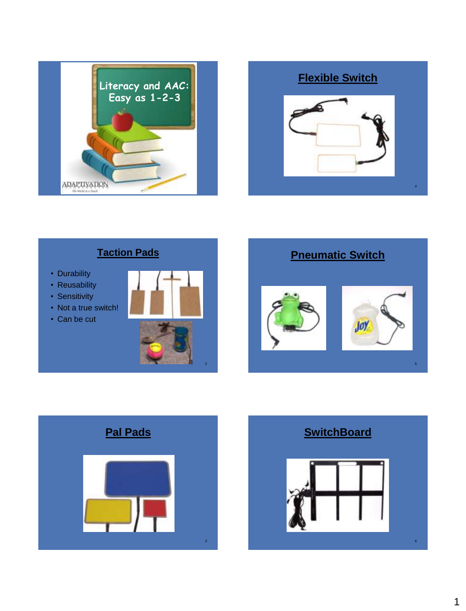



## **Taction Pads**

- Durability
- Reusability
- Sensitivity
- Not a true switch!
- Can be cut







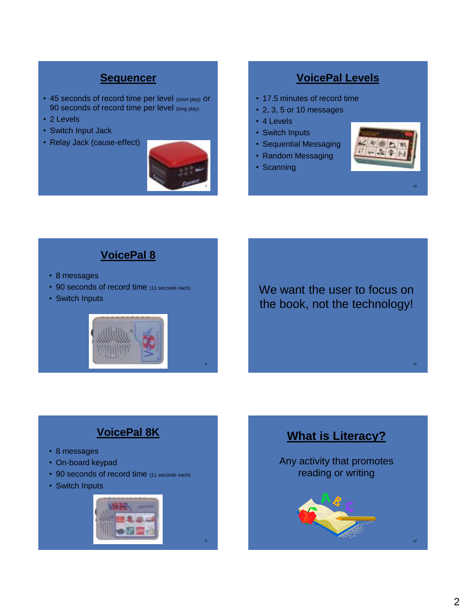### **Sequencer**

- 45 seconds of record time per level (short play) or 90 seconds of record time per level (long play)
- 2 Levels
- Switch Input Jack
- Relay Jack (cause-effect)



8

9

### **VoicePal Levels**

- 17.5 minutes of record time
- 2, 3, 5 or 10 messages
- 4 Levels
- Switch Inputs
- Sequential Messaging
- Random Messaging
- Scanning



10

11

### **VoicePal 8**

- 8 messages
- 90 seconds of record time (11 seconds each)
- Switch Inputs



## We want the user to focus on the book, not the technology!

## **VoicePal 8K**

- 8 messages
- On-board keypad
- 90 seconds of record time (11 seconds each)
- Switch Inputs



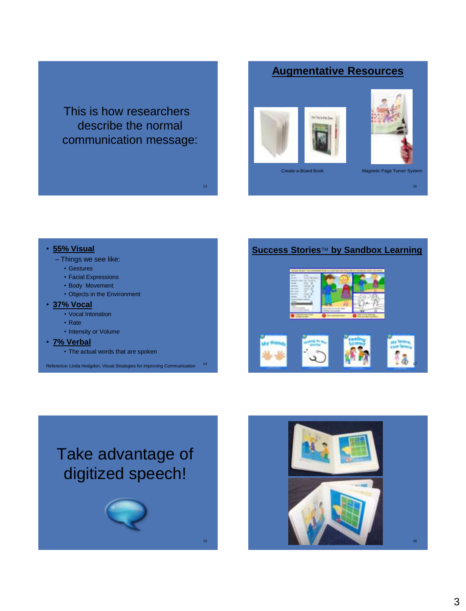This is how researchers describe the normal communication message:

13

## **Augmentative Resources**





Create-a-Board Book Magnetic Page Turner Sy

16

### • **55% Visual**

- Things we see like:
	- Gestures
	- Facial Expressions
	- Body Movement
	- Objects in the Environment

### • **37% Vocal**

- Vocal Intonation
- Rate
- Intensity or Volume
- **7% Verbal**
	- The actual words that are spoken

Reference: Linda Hodgdon, Visual Strategies for Improving Communication<sup>14</sup>

**Success Stories<sup>™</sup> by Sandbox Learning** 17

# Take advantage of digitized speech!



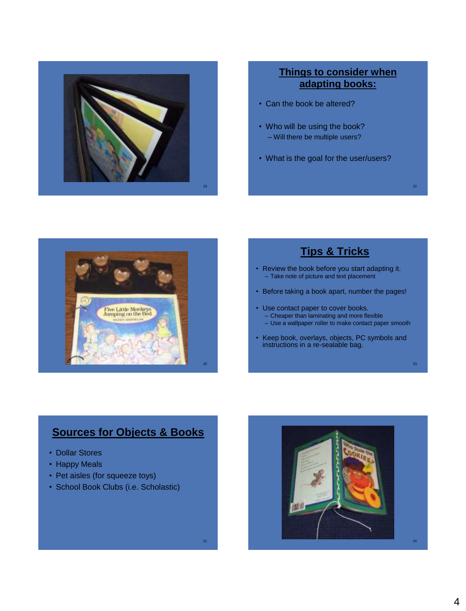

### **Things to consider when adapting books:**

- Can the book be altered?
- Who will be using the book? – Will there be multiple users?
- What is the goal for the user/users?



### **Tips & Tricks**

- Review the book before you start adapting it. – Take note of picture and text placement
- Before taking a book apart, number the pages!
- Use contact paper to cover books. – Cheaper than laminating and more flexible
	- Use a wallpaper roller to make contact paper smooth
- Keep book, overlays, objects, PC symbols and instructions in a re-sealable bag.

#### 23

22

### **Sources for Objects & Books**

- Dollar Stores
- Happy Meals
- Pet aisles (for squeeze toys)
- School Book Clubs (i.e. Scholastic)

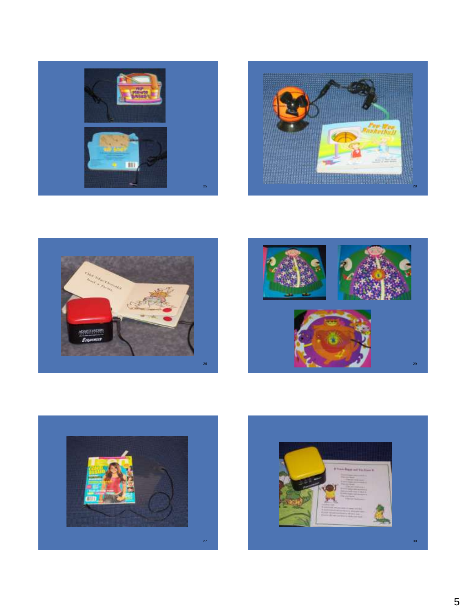









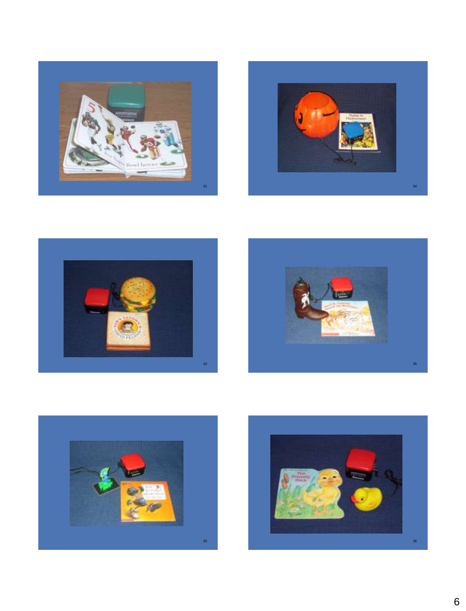









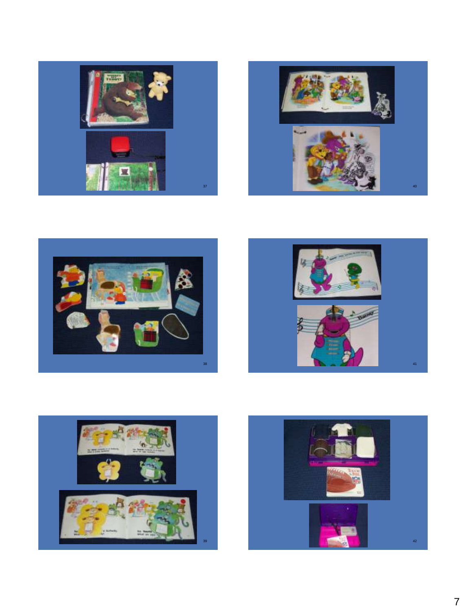









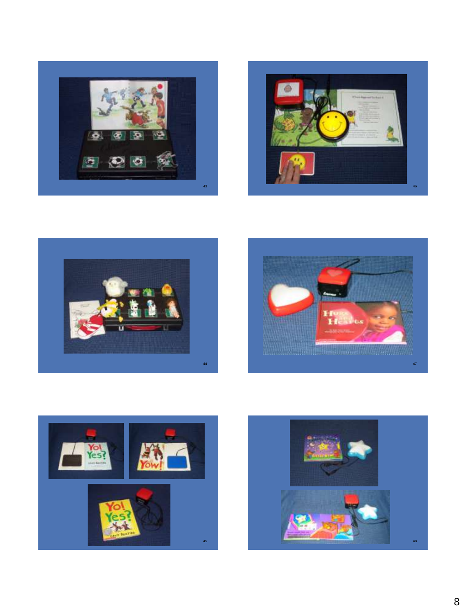









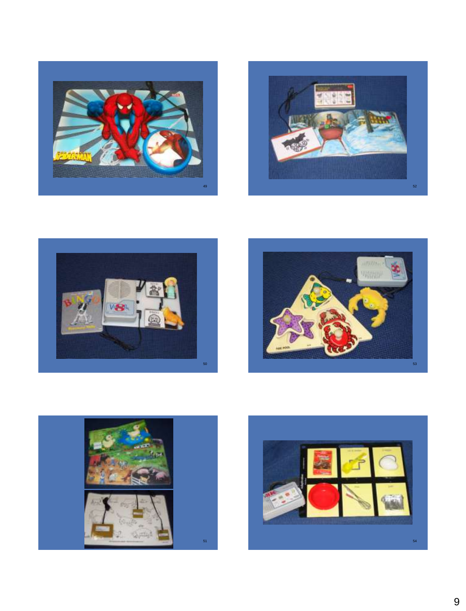